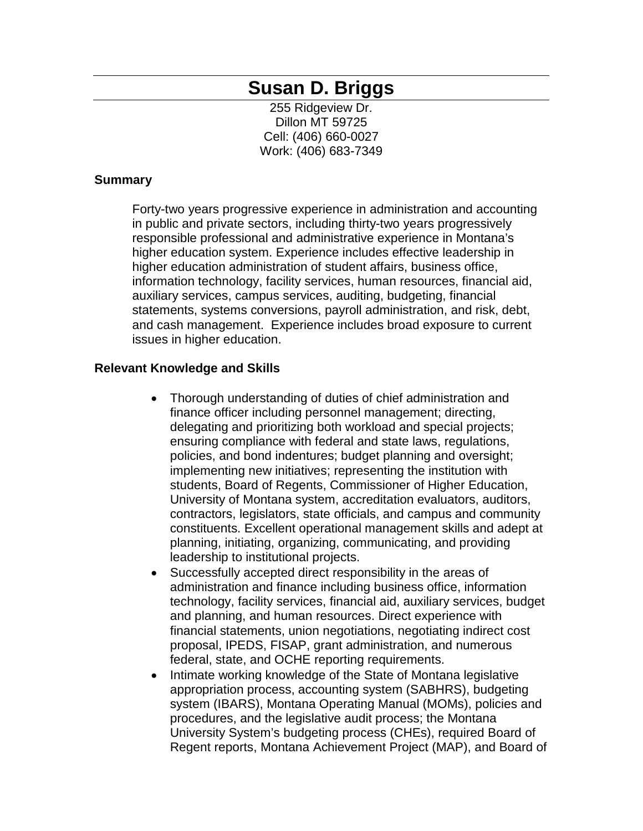# **Susan D. Briggs**

255 Ridgeview Dr. Dillon MT 59725 Cell: (406) 660-0027 Work: (406) 683-7349

### **Summary**

Forty-two years progressive experience in administration and accounting in public and private sectors, including thirty-two years progressively responsible professional and administrative experience in Montana's higher education system. Experience includes effective leadership in higher education administration of student affairs, business office, information technology, facility services, human resources, financial aid, auxiliary services, campus services, auditing, budgeting, financial statements, systems conversions, payroll administration, and risk, debt, and cash management. Experience includes broad exposure to current issues in higher education.

### **Relevant Knowledge and Skills**

- Thorough understanding of duties of chief administration and finance officer including personnel management; directing, delegating and prioritizing both workload and special projects; ensuring compliance with federal and state laws, regulations, policies, and bond indentures; budget planning and oversight; implementing new initiatives; representing the institution with students, Board of Regents, Commissioner of Higher Education, University of Montana system, accreditation evaluators, auditors, contractors, legislators, state officials, and campus and community constituents. Excellent operational management skills and adept at planning, initiating, organizing, communicating, and providing leadership to institutional projects.
- Successfully accepted direct responsibility in the areas of administration and finance including business office, information technology, facility services, financial aid, auxiliary services, budget and planning, and human resources. Direct experience with financial statements, union negotiations, negotiating indirect cost proposal, IPEDS, FISAP, grant administration, and numerous federal, state, and OCHE reporting requirements.
- Intimate working knowledge of the State of Montana legislative appropriation process, accounting system (SABHRS), budgeting system (IBARS), Montana Operating Manual (MOMs), policies and procedures, and the legislative audit process; the Montana University System's budgeting process (CHEs), required Board of Regent reports, Montana Achievement Project (MAP), and Board of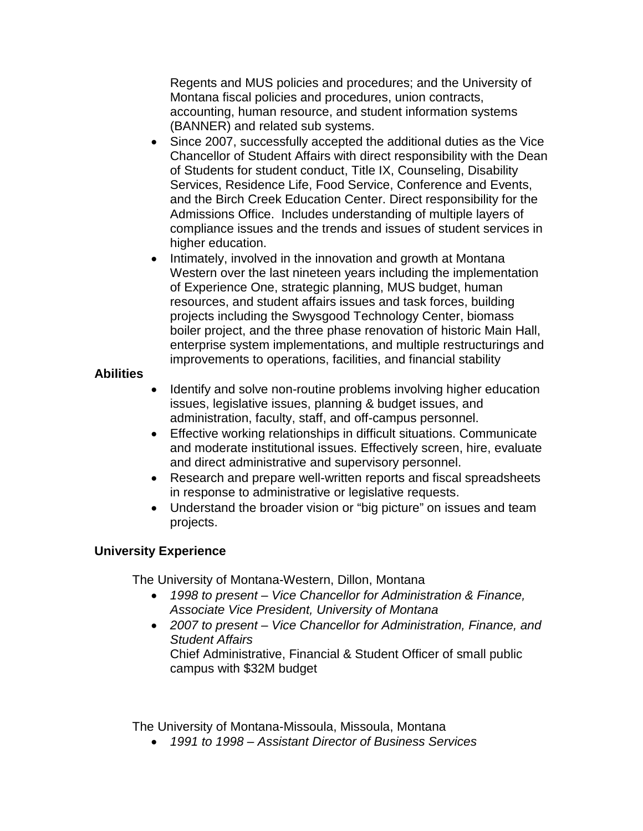Regents and MUS policies and procedures; and the University of Montana fiscal policies and procedures, union contracts, accounting, human resource, and student information systems (BANNER) and related sub systems.

- Since 2007, successfully accepted the additional duties as the Vice Chancellor of Student Affairs with direct responsibility with the Dean of Students for student conduct, Title IX, Counseling, Disability Services, Residence Life, Food Service, Conference and Events, and the Birch Creek Education Center. Direct responsibility for the Admissions Office. Includes understanding of multiple layers of compliance issues and the trends and issues of student services in higher education.
- Intimately, involved in the innovation and growth at Montana Western over the last nineteen years including the implementation of Experience One, strategic planning, MUS budget, human resources, and student affairs issues and task forces, building projects including the Swysgood Technology Center, biomass boiler project, and the three phase renovation of historic Main Hall, enterprise system implementations, and multiple restructurings and improvements to operations, facilities, and financial stability

# **Abilities**

- Identify and solve non-routine problems involving higher education issues, legislative issues, planning & budget issues, and administration, faculty, staff, and off-campus personnel.
- Effective working relationships in difficult situations. Communicate and moderate institutional issues. Effectively screen, hire, evaluate and direct administrative and supervisory personnel.
- Research and prepare well-written reports and fiscal spreadsheets in response to administrative or legislative requests.
- Understand the broader vision or "big picture" on issues and team projects.

# **University Experience**

The University of Montana-Western, Dillon, Montana

- *1998 to present – Vice Chancellor for Administration & Finance, Associate Vice President, University of Montana*
- *2007 to present – Vice Chancellor for Administration, Finance, and Student Affairs* Chief Administrative, Financial & Student Officer of small public campus with \$32M budget

The University of Montana-Missoula, Missoula, Montana

• *1991 to 1998 – Assistant Director of Business Services*